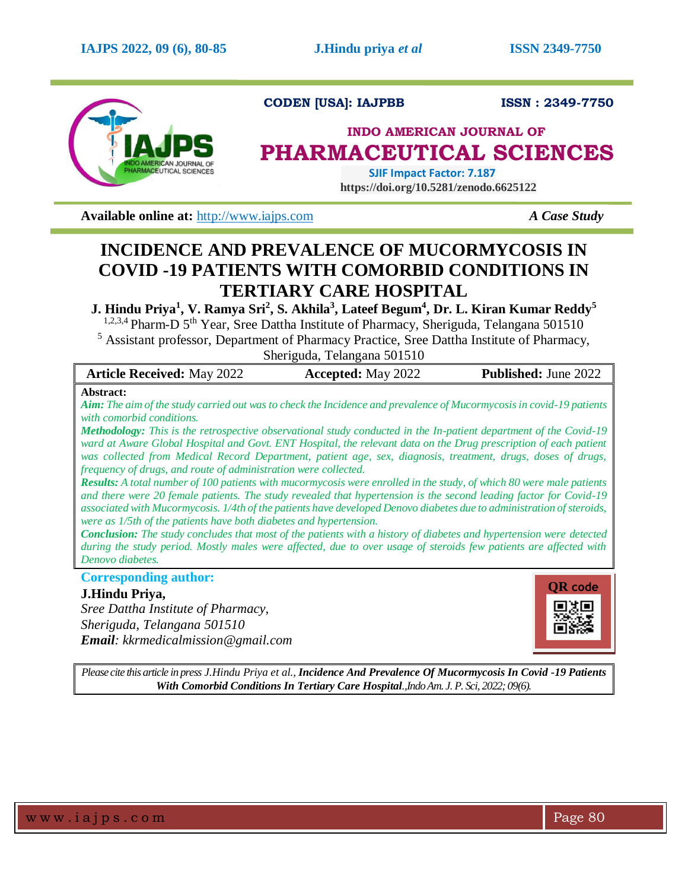

**CODEN [USA]: IAJPBB ISSN : 2349-7750** 

## **INDO AMERICAN JOURNAL OF PHARMACEUTICAL SCIENCES**

 **SJIF Impact Factor: 7.187 https://doi.org/10.5281/zenodo.6625122**

**Available online at:**  $\frac{http://www.iaips.com}{http://www.iaips.com}$  *A Case Study* 

# **INCIDENCE AND PREVALENCE OF MUCORMYCOSIS IN COVID -19 PATIENTS WITH COMORBID CONDITIONS IN TERTIARY CARE HOSPITAL**

**J. Hindu Priya<sup>1</sup> , V. Ramya Sri<sup>2</sup> , S. Akhila<sup>3</sup> , Lateef Begum<sup>4</sup> , Dr. L. Kiran Kumar Reddy<sup>5</sup>**

<sup>1,2,3,4</sup> Pharm-D 5<sup>th</sup> Year, Sree Dattha Institute of Pharmacy, Sheriguda, Telangana 501510

<sup>5</sup> Assistant professor, Department of Pharmacy Practice, Sree Dattha Institute of Pharmacy, Sheriguda, Telangana 501510

| <b>Article Received: May 2022</b>                                                                                           | <b>Accepted:</b> May 2022 | <b>Published:</b> June 2022 |
|-----------------------------------------------------------------------------------------------------------------------------|---------------------------|-----------------------------|
| <b>Abstract:</b>                                                                                                            |                           |                             |
| <b>Aim:</b> The aim of the study carried out was to check the Incidence and prevalence of Mucormycosis in covid-19 patients |                           |                             |

*with comorbid conditions. Methodology: This is the retrospective observational study conducted in the In-patient department of the Covid-19 ward at Aware Global Hospital and Govt. ENT Hospital, the relevant data on the Drug prescription of each patient was collected from Medical Record Department, patient age, sex, diagnosis, treatment, drugs, doses of drugs, frequency of drugs, and route of administration were collected.*

*Results: A total number of 100 patients with mucormycosis were enrolled in the study, of which 80 were male patients and there were 20 female patients. The study revealed that hypertension is the second leading factor for Covid-19 associated with Mucormycosis. 1/4th of the patients have developed Denovo diabetes due to administration of steroids, were as 1/5th of the patients have both diabetes and hypertension.*

*Conclusion: The study concludes that most of the patients with a history of diabetes and hypertension were detected during the study period. Mostly males were affected, due to over usage of steroids few patients are affected with Denovo diabetes.*

**Corresponding author:** 

## **J.Hindu Priya,**

*Sree Dattha Institute of Pharmacy, Sheriguda, Telangana 501510 Email: kkrmedicalmission@gmail.com* 



*Please cite this article in press J.Hindu Priya et al., Incidence And Prevalence Of Mucormycosis In Covid -19 Patients With Comorbid Conditions In Tertiary Care Hospital.,Indo Am. J. P. Sci, 2022; 09(6).*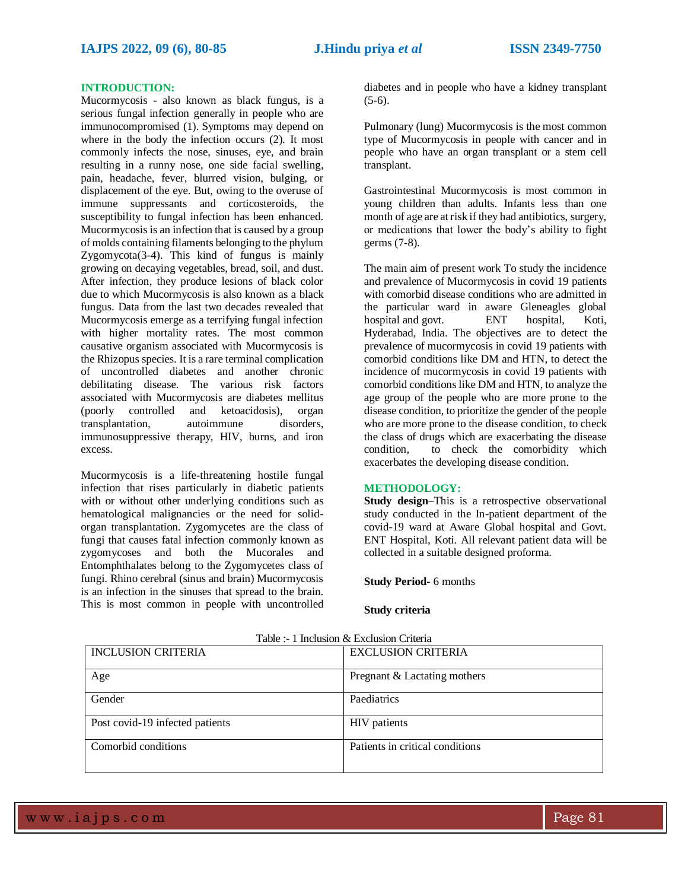#### **INTRODUCTION:**

Mucormycosis - also known as black fungus, is a serious fungal infection generally in people who are immunocompromised (1). Symptoms may depend on where in the body the infection occurs (2). It most commonly infects the nose, sinuses, eye, and brain resulting in a runny nose, one side facial swelling, pain, headache, fever, blurred vision, bulging, or displacement of the eye. But, owing to the overuse of immune suppressants and corticosteroids, the susceptibility to fungal infection has been enhanced. Mucormycosis is an infection that is caused by a group of molds containing filaments belonging to the phylum Zygomycota(3-4). This kind of fungus is mainly growing on decaying vegetables, bread, soil, and dust. After infection, they produce lesions of black color due to which Mucormycosis is also known as a black fungus. Data from the last two decades revealed that Mucormycosis emerge as a terrifying fungal infection with higher mortality rates. The most common causative organism associated with Mucormycosis is the Rhizopus species. It is a rare terminal complication of uncontrolled diabetes and another chronic debilitating disease. The various risk factors associated with Mucormycosis are diabetes mellitus (poorly controlled and ketoacidosis), organ transplantation, autoimmune disorders, immunosuppressive therapy, HIV, burns, and iron excess.

Mucormycosis is a life-threatening hostile fungal infection that rises particularly in diabetic patients with or without other underlying conditions such as hematological malignancies or the need for solidorgan transplantation. Zygomycetes are the class of fungi that causes fatal infection commonly known as zygomycoses and both the Mucorales and Entomphthalates belong to the Zygomycetes class of fungi. Rhino cerebral (sinus and brain) Mucormycosis is an infection in the sinuses that spread to the brain. This is most common in people with uncontrolled

diabetes and in people who have a kidney transplant  $(5-6)$ .

Pulmonary (lung) Mucormycosis is the most common type of Mucormycosis in people with cancer and in people who have an organ transplant or a stem cell transplant.

Gastrointestinal Mucormycosis is most common in young children than adults. Infants less than one month of age are at risk if they had antibiotics, surgery, or medications that lower the body's ability to fight germs (7-8).

The main aim of present work To study the incidence and prevalence of Mucormycosis in covid 19 patients with comorbid disease conditions who are admitted in the particular ward in aware Gleneagles global hospital and govt. ENT hospital, Koti, Hyderabad, India. The objectives are to detect the prevalence of mucormycosis in covid 19 patients with comorbid conditions like DM and HTN, to detect the incidence of mucormycosis in covid 19 patients with comorbid conditions like DM and HTN, to analyze the age group of the people who are more prone to the disease condition, to prioritize the gender of the people who are more prone to the disease condition, to check the class of drugs which are exacerbating the disease condition, to check the comorbidity which exacerbates the developing disease condition.

#### **METHODOLOGY:**

**Study design–This is a retrospective observational** study conducted in the In-patient department of the covid-19 ward at Aware Global hospital and Govt. ENT Hospital, Koti. All relevant patient data will be collected in a suitable designed proforma.

**Study Period-** 6 months

#### **Study criteria**

| <b>INCLUSION CRITERIA</b>       | <b>EXCLUSION CRITERIA</b>       |  |  |
|---------------------------------|---------------------------------|--|--|
| Age                             | Pregnant & Lactating mothers    |  |  |
| Gender                          | Paediatrics                     |  |  |
| Post covid-19 infected patients | HIV patients                    |  |  |
| Comorbid conditions             | Patients in critical conditions |  |  |

|  | Table :- 1 Inclusion & Exclusion Criteria |  |
|--|-------------------------------------------|--|
|  |                                           |  |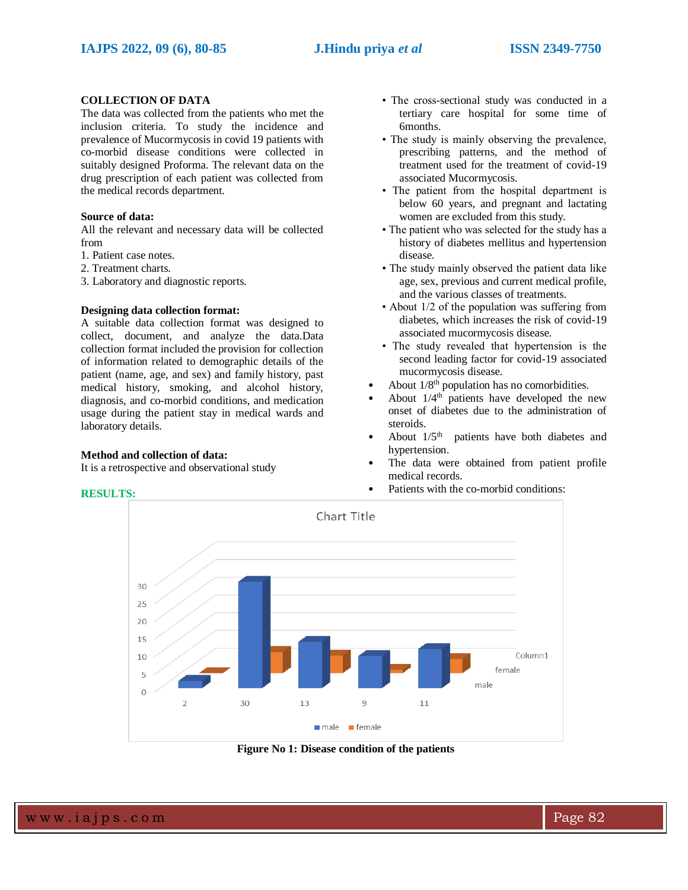## **COLLECTION OF DATA**

The data was collected from the patients who met the inclusion criteria. To study the incidence and prevalence of Mucormycosis in covid 19 patients with co-morbid disease conditions were collected in suitably designed Proforma. The relevant data on the drug prescription of each patient was collected from the medical records department.

### **Source of data:**

All the relevant and necessary data will be collected from

1. Patient case notes.

2. Treatment charts.

3. Laboratory and diagnostic reports.

#### **Designing data collection format:**

A suitable data collection format was designed to collect, document, and analyze the data.Data collection format included the provision for collection of information related to demographic details of the patient (name, age, and sex) and family history, past medical history, smoking, and alcohol history, diagnosis, and co-morbid conditions, and medication usage during the patient stay in medical wards and laboratory details.

#### **Method and collection of data:**

It is a retrospective and observational study

- The cross-sectional study was conducted in a tertiary care hospital for some time of 6months.
- The study is mainly observing the prevalence, prescribing patterns, and the method of treatment used for the treatment of covid-19 associated Mucormycosis.
- The patient from the hospital department is below 60 years, and pregnant and lactating women are excluded from this study.
- The patient who was selected for the study has a history of diabetes mellitus and hypertension disease.
- The study mainly observed the patient data like age, sex, previous and current medical profile, and the various classes of treatments.
- About 1/2 of the population was suffering from diabetes, which increases the risk of covid-19 associated mucormycosis disease.
- The study revealed that hypertension is the second leading factor for covid-19 associated mucormycosis disease.
- About  $1/8^{th}$  population has no comorbidities.
- About  $1/4^{\text{th}}$  patients have developed the new onset of diabetes due to the administration of steroids.
- About  $1/5<sup>th</sup>$  patients have both diabetes and hypertension.
- The data were obtained from patient profile medical records.
- Patients with the co-morbid conditions:



**Figure No 1: Disease condition of the patients**

w w w .iajps.com Page 82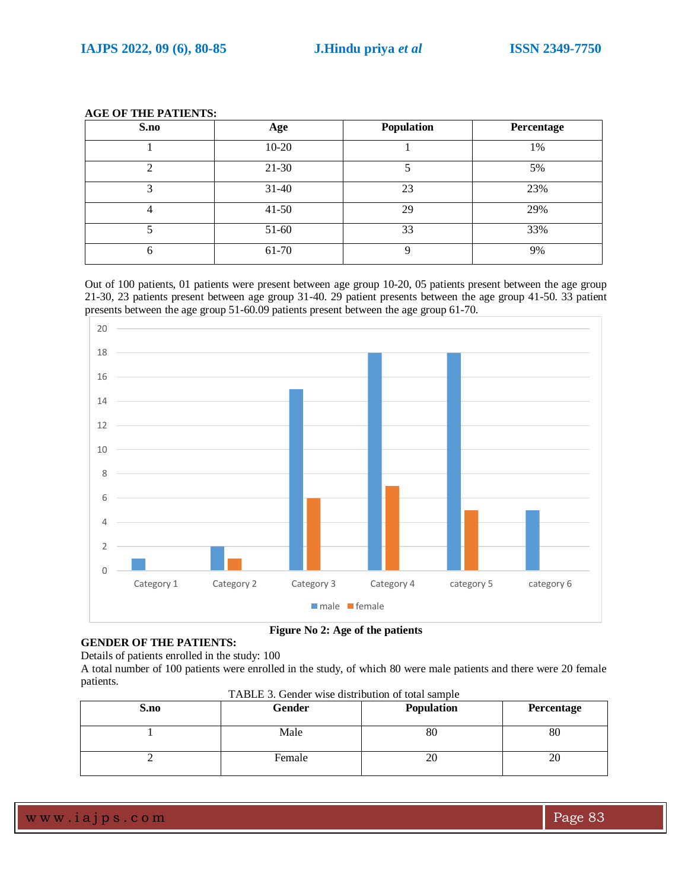| S.no | Age       | Population | Percentage |
|------|-----------|------------|------------|
|      | $10-20$   |            | 1%         |
| ◠    | $21 - 30$ |            | 5%         |
| 3    | $31 - 40$ | 23         | 23%        |
|      | $41 - 50$ | 29         | 29%        |
|      | 51-60     | 33         | 33%        |
| 6    | 61-70     | 9          | 9%         |

## **AGE OF THE PATIENTS:**

Out of 100 patients, 01 patients were present between age group 10-20, 05 patients present between the age group 21-30, 23 patients present between age group 31-40. 29 patient presents between the age group 41-50. 33 patient presents between the age group 51-60.09 patients present between the age group 61-70.



**Figure No 2: Age of the patients**

**GENDER OF THE PATIENTS:** Details of patients enrolled in the study: 100

A total number of 100 patients were enrolled in the study, of which 80 were male patients and there were 20 female patients.

| S.no | Gender | <b>Population</b> | Percentage |
|------|--------|-------------------|------------|
|      | Male   | 80                | 80         |
|      | Female | 20                | 20         |

TABLE 3. Gender wise distribution of total sample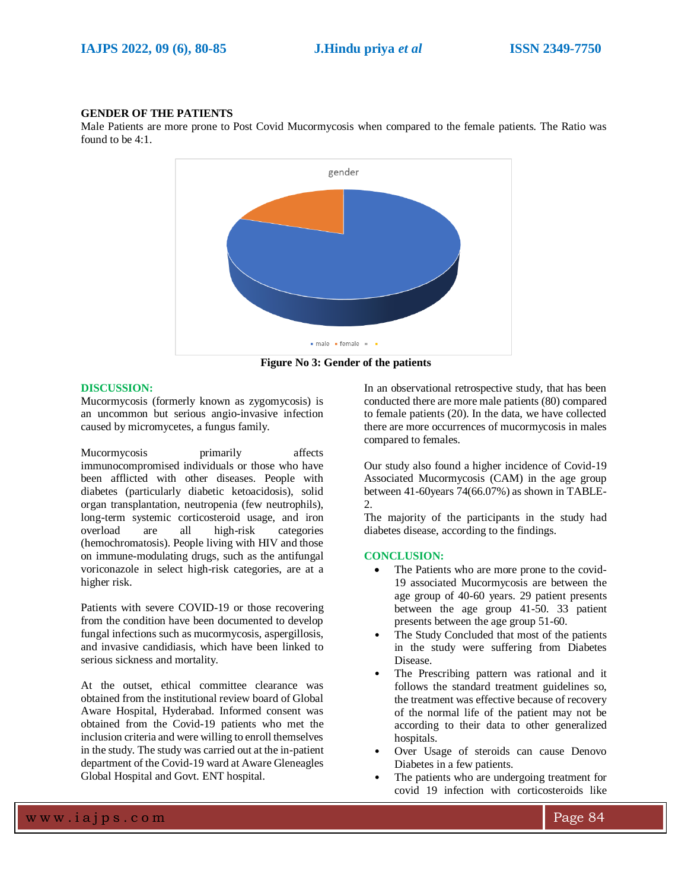#### **GENDER OF THE PATIENTS**

Male Patients are more prone to Post Covid Mucormycosis when compared to the female patients. The Ratio was found to be 4:1.



**Figure No 3: Gender of the patients**

#### **DISCUSSION:**

Mucormycosis (formerly known as zygomycosis) is an uncommon but serious angio-invasive infection caused by micromycetes, a fungus family.

Mucormycosis primarily affects immunocompromised individuals or those who have been afflicted with other diseases. People with diabetes (particularly diabetic ketoacidosis), solid organ transplantation, neutropenia (few neutrophils), long-term systemic corticosteroid usage, and iron overload are all high-risk categories (hemochromatosis). People living with HIV and those on immune-modulating drugs, such as the antifungal voriconazole in select high-risk categories, are at a higher risk.

Patients with severe COVID-19 or those recovering from the condition have been documented to develop fungal infections such as mucormycosis, aspergillosis, and invasive candidiasis, which have been linked to serious sickness and mortality.

At the outset, ethical committee clearance was obtained from the institutional review board of Global Aware Hospital, Hyderabad. Informed consent was obtained from the Covid-19 patients who met the inclusion criteria and were willing to enroll themselves in the study. The study was carried out at the in-patient department of the Covid-19 ward at Aware Gleneagles Global Hospital and Govt. ENT hospital.

In an observational retrospective study, that has been conducted there are more male patients (80) compared to female patients (20). In the data, we have collected there are more occurrences of mucormycosis in males compared to females.

Our study also found a higher incidence of Covid-19 Associated Mucormycosis (CAM) in the age group between 41-60years 74(66.07%) as shown in TABLE-2.

The majority of the participants in the study had diabetes disease, according to the findings.

#### **CONCLUSION:**

- The Patients who are more prone to the covid-19 associated Mucormycosis are between the age group of 40-60 years. 29 patient presents between the age group 41-50. 33 patient presents between the age group 51-60.
- The Study Concluded that most of the patients in the study were suffering from Diabetes Disease.
- The Prescribing pattern was rational and it follows the standard treatment guidelines so, the treatment was effective because of recovery of the normal life of the patient may not be according to their data to other generalized hospitals.
- Over Usage of steroids can cause Denovo Diabetes in a few patients.
- The patients who are undergoing treatment for covid 19 infection with corticosteroids like